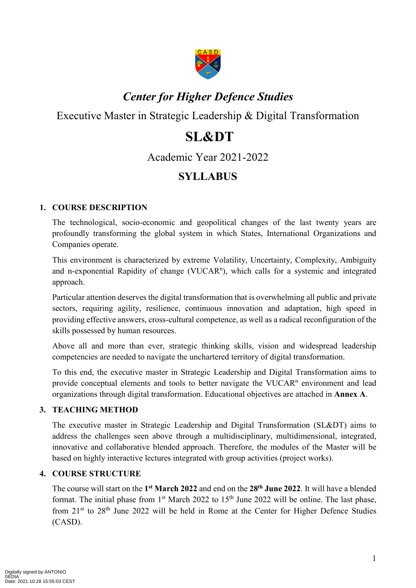

## *Center for Higher Defence Studies*

Executive Master in Strategic Leadership & Digital Transformation

# **SL&DT**

Academic Year 2021-2022

### **SYLLABUS**

#### **1. COURSE DESCRIPTION**

The technological, socio-economic and geopolitical changes of the last twenty years are profoundly transforming the global system in which States, International Organizations and Companies operate.

This environment is characterized by extreme Volatility, Uncertainty, Complexity, Ambiguity and n-exponential Rapidity of change (VUCAR<sup>n</sup>), which calls for a systemic and integrated approach.

Particular attention deserves the digital transformation that is overwhelming all public and private sectors, requiring agility, resilience, continuous innovation and adaptation, high speed in providing effective answers, cross-cultural competence, as well as a radical reconfiguration of the skills possessed by human resources.

Above all and more than ever, strategic thinking skills, vision and widespread leadership competencies are needed to navigate the unchartered territory of digital transformation.

To this end, the executive master in Strategic Leadership and Digital Transformation aims to provide conceptual elements and tools to better navigate the VUCAR<sup>n</sup> environment and lead organizations through digital transformation. Educational objectives are attached in **Annex A**.

#### **3. TEACHING METHOD**

The executive master in Strategic Leadership and Digital Transformation (SL&DT) aims to address the challenges seen above through a multidisciplinary, multidimensional, integrated, innovative and collaborative blended approach. Therefore, the modules of the Master will be based on highly interactive lectures integrated with group activities (project works).

#### **4. COURSE STRUCTURE**

The course will start on the **1 st March 2022** and end on the **28th June 2022**. It will have a blended format. The initial phase from 1<sup>st</sup> March 2022 to 15<sup>th</sup> June 2022 will be online. The last phase, from  $21<sup>st</sup>$  to  $28<sup>th</sup>$  June 2022 will be held in Rome at the Center for Higher Defence Studies (CASD).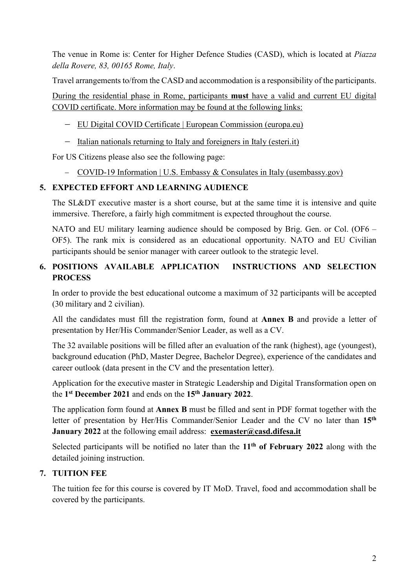The venue in Rome is: Center for Higher Defence Studies (CASD), which is located at *Piazza della Rovere, 83, 00165 Rome, Italy*.

Travel arrangements to/from the CASD and accommodation is a responsibility of the participants.

During the residential phase in Rome, participants **must** have a valid and current EU digital COVID certificate. More information may be found at the following links:

- EU Digital COVID Certificate | European [Commission](https://ec.europa.eu/info/live-work-travel-eu/coronavirus-response/safe-covid-19-vaccines-europeans/eu-digital-covid-certificate_en) (europa.eu)
- Italian nationals returning to Italy and [foreigners](https://www.esteri.it/mae/en/ministero/normativaonline/decreto-iorestoacasa-domande-frequenti/focus-cittadini-italiani-in-rientro-dall-estero-e-cittadini-stranieri-in-italia.html) in Italy (esteri.it)

For US Citizens please also see the following page:

COVID-19 Information | U.S. Embassy & Consulates in Italy [\(usembassy.gov\)](https://it.usembassy.gov/covid-19-information/)

#### **5. EXPECTED EFFORT AND LEARNING AUDIENCE**

The SL&DT executive master is a short course, but at the same time it is intensive and quite immersive. Therefore, a fairly high commitment is expected throughout the course.

NATO and EU military learning audience should be composed by Brig. Gen. or Col. (OF6 – OF5). The rank mix is considered as an educational opportunity. NATO and EU Civilian participants should be senior manager with career outlook to the strategic level.

#### **6. POSITIONS AVAILABLE APPLICATION INSTRUCTIONS AND SELECTION PROCESS**

In order to provide the best educational outcome a maximum of 32 participants will be accepted (30 military and 2 civilian).

All the candidates must fill the registration form, found at **Annex B** and provide a letter of presentation by Her/His Commander/Senior Leader, as well as a CV.

The 32 available positions will be filled after an evaluation of the rank (highest), age (youngest), background education (PhD, Master Degree, Bachelor Degree), experience of the candidates and career outlook (data present in the CV and the presentation letter).

Application for the executive master in Strategic Leadership and Digital Transformation open on the **1 st December 2021** and ends on the **15 th January 2022**.

The application form found at **Annex B** must be filled and sent in PDF format together with the letter of presentation by Her/His Commander/Senior Leader and the CV no later than **15th January 2022** at the following email address: **[exemaster@casd.difesa.it](mailto:exemaster@casd.difesa.it)**

Selected participants will be notified no later than the **11th of February 2022** along with the detailed joining instruction.

#### **7. TUITION FEE**

The tuition fee for this course is covered by IT MoD. Travel, food and accommodation shall be covered by the participants.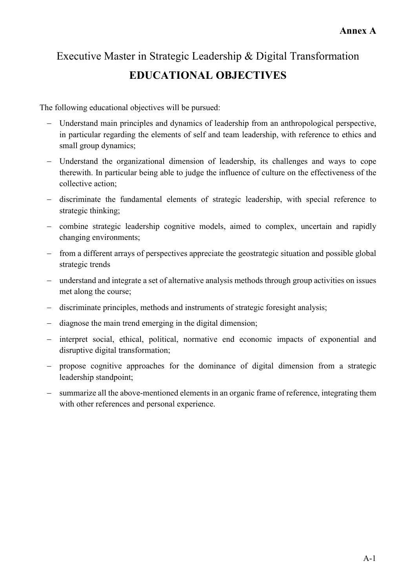## Executive Master in Strategic Leadership & Digital Transformation **EDUCATIONAL OBJECTIVES**

The following educational objectives will be pursued:

- Understand main principles and dynamics of leadership from an anthropological perspective, in particular regarding the elements of self and team leadership, with reference to ethics and small group dynamics;
- Understand the organizational dimension of leadership, its challenges and ways to cope therewith. In particular being able to judge the influence of culture on the effectiveness of the collective action;
- discriminate the fundamental elements of strategic leadership, with special reference to strategic thinking;
- combine strategic leadership cognitive models, aimed to complex, uncertain and rapidly changing environments;
- from a different arrays of perspectives appreciate the geostrategic situation and possible global strategic trends
- understand and integrate a set of alternative analysis methods through group activities on issues met along the course;
- discriminate principles, methods and instruments of strategic foresight analysis;
- diagnose the main trend emerging in the digital dimension;
- interpret social, ethical, political, normative end economic impacts of exponential and disruptive digital transformation;
- propose cognitive approaches for the dominance of digital dimension from a strategic leadership standpoint;
- summarize all the above-mentioned elements in an organic frame of reference, integrating them with other references and personal experience.